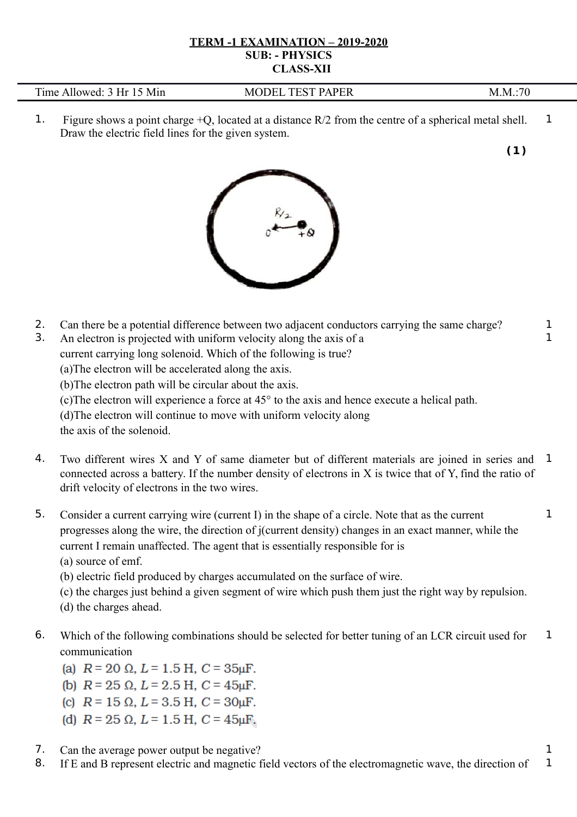## **TERM -1 EXAMINATION – 2019-2020 SUB: - PHYSICS CLASS-XII**

| Time<br>Min<br>Allowed <sup>-</sup><br>Hr | PER<br>TECT<br>DA.<br>)DEI<br>МI<br>н<br>$\mathbf{H}$<br>the contract of the contract of the contract of the contract of the contract of the contract of the contract of<br>$\sim$ | M<br><b>NI</b> |
|-------------------------------------------|------------------------------------------------------------------------------------------------------------------------------------------------------------------------------------|----------------|
|-------------------------------------------|------------------------------------------------------------------------------------------------------------------------------------------------------------------------------------|----------------|

1. Figure shows a point charge +Q, located at a distance R/2 from the centre of a spherical metal shell. Draw the electric field lines for the given system. 1

**(1 )**



- 2. Can there be a potential difference between two adjacent conductors carrying the same charge? 1
- 3. An electron is projected with uniform velocity along the axis of a current carrying long solenoid. Which of the following is true?

(a)The electron will be accelerated along the axis.

(b)The electron path will be circular about the axis.

(c)The electron will experience a force at 45° to the axis and hence execute a helical path.

(d)The electron will continue to move with uniform velocity along

the axis of the solenoid.

- 4. Two different wires X and Y of same diameter but of different materials are joined in series and connected across a battery. If the number density of electrons in X is twice that of Y, find the ratio of drift velocity of electrons in the two wires. 1
- 5. Consider a current carrying wire (current I) in the shape of a circle. Note that as the current progresses along the wire, the direction of j(current density) changes in an exact manner, while the current I remain unaffected. The agent that is essentially responsible for is (a) source of emf.

(b) electric field produced by charges accumulated on the surface of wire.

(c) the charges just behind a given segment of wire which push them just the right way by repulsion.

(d) the charges ahead.

6. Which of the following combinations should be selected for better tuning of an LCR circuit used for communication 1

(a)  $R = 20 \Omega$ ,  $L = 1.5$  H,  $C = 35$ uF,

- (b)  $R = 25 \Omega$ ,  $L = 2.5$  H,  $C = 45$ uF,
- (c)  $R = 15 \Omega$ ,  $L = 3.5$  H,  $C = 30 \mu F$ .
- (d)  $R = 25 \Omega$ ,  $L = 1.5$  H,  $C = 45$ uF.
- 7. Can the average power output be negative?
- 8. If E and B represent electric and magnetic field vectors of the electromagnetic wave, the direction of 1

1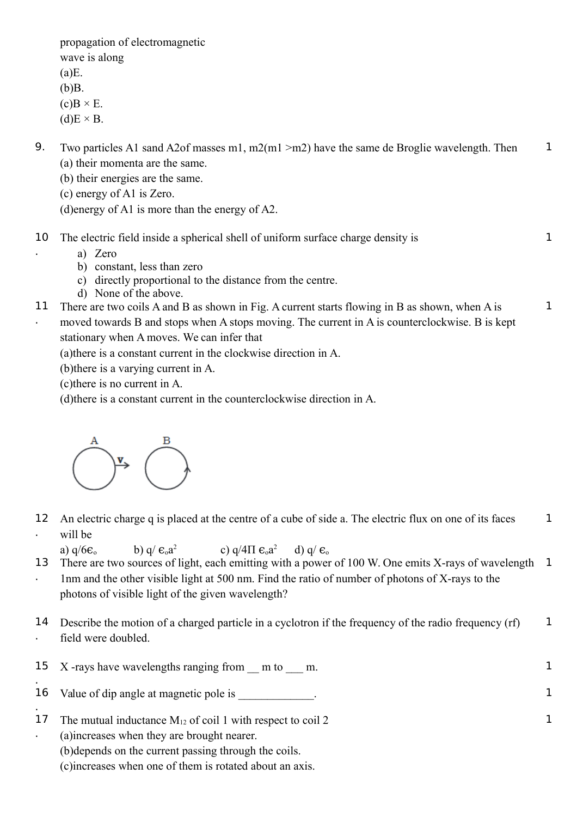propagation of electromagnetic wave is along  $(a)E$ . (b)B.  $(c)B \times E$ .  $(d)E \times B$ . 9. Two particles A1 sand A2of masses m1, m2(m1 >m2) have the same de Broglie wavelength. Then (a) their momenta are the same. (b) their energies are the same. (c) energy of A1 is Zero. (d)energy of A1 is more than the energy of A2. 1 10 The electric field inside a spherical shell of uniform surface charge density is a) Zero b) constant, less than zero c) directly proportional to the distance from the centre. d) None of the above. 1 11 There are two coils A and B as shown in Fig. A current starts flowing in B as shown, when A is moved towards B and stops when A stops moving. The current in A is counterclockwise. B is kept stationary when A moves. We can infer that (a)there is a constant current in the clockwise direction in A. (b)there is a varying current in A. (c)there is no current in A. (d)there is a constant current in the counterclockwise direction in A. 1



.

.

12 An electric charge q is placed at the centre of a cube of side a. The electric flux on one of its faces . will be 1

a)  $q/6\varepsilon_o$  b)  $q/\varepsilon_o a^2$ c) q/4 $\Pi \epsilon_0 a^2$ d)  $q / \varepsilon_0$ 13 . There are two sources of light, each emitting with a power of 100 W. One emits X-rays of wavelength 1nm and the other visible light at 500 nm. Find the ratio of number of photons of X-rays to the photons of visible light of the given wavelength? 1

14 Describe the motion of a charged particle in a cyclotron if the frequency of the radio frequency (rf) . field were doubled. 1

|         | 15 X-rays have wavelengths ranging from m to m.                 |  |
|---------|-----------------------------------------------------------------|--|
| 16      | Value of dip angle at magnetic pole is                          |  |
| $\perp$ | The mutual inductance $M_{12}$ of coil 1 with respect to coil 2 |  |
|         | (a) increases when they are brought nearer.                     |  |
|         | (b) depends on the current passing through the coils.           |  |

(c)increases when one of them is rotated about an axis.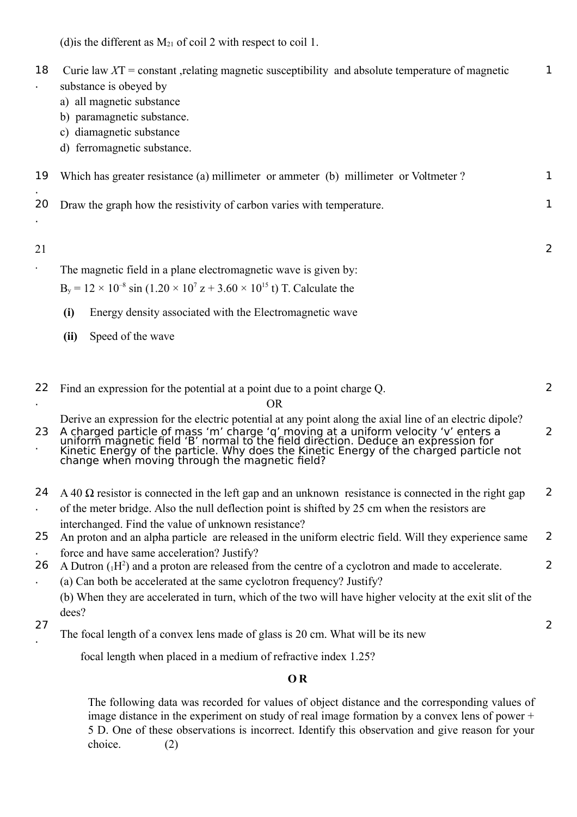(d) is the different as  $M_{21}$  of coil 2 with respect to coil 1.

| 18                   | Curie law $XT = constant$ , relating magnetic susceptibility and absolute temperature of magnetic<br>substance is obeyed by<br>a) all magnetic substance<br>b) paramagnetic substance.<br>c) diamagnetic substance<br>d) ferromagnetic substance.                                                                                                | $\mathbf{1}$   |
|----------------------|--------------------------------------------------------------------------------------------------------------------------------------------------------------------------------------------------------------------------------------------------------------------------------------------------------------------------------------------------|----------------|
| 19                   | Which has greater resistance (a) millimeter or ammeter (b) millimeter or Voltmeter?                                                                                                                                                                                                                                                              | $\mathbf 1$    |
| 20                   | Draw the graph how the resistivity of carbon varies with temperature.                                                                                                                                                                                                                                                                            | 1              |
| 21                   |                                                                                                                                                                                                                                                                                                                                                  | 2              |
|                      | The magnetic field in a plane electromagnetic wave is given by:                                                                                                                                                                                                                                                                                  |                |
|                      | $B_y = 12 \times 10^{-8} \sin (1.20 \times 10^{7} z + 3.60 \times 10^{15} t)$ T. Calculate the                                                                                                                                                                                                                                                   |                |
|                      | (i)<br>Energy density associated with the Electromagnetic wave                                                                                                                                                                                                                                                                                   |                |
|                      | Speed of the wave<br>(ii)                                                                                                                                                                                                                                                                                                                        |                |
|                      |                                                                                                                                                                                                                                                                                                                                                  |                |
| 22                   | Find an expression for the potential at a point due to a point charge Q.                                                                                                                                                                                                                                                                         | $\overline{2}$ |
|                      | <b>OR</b>                                                                                                                                                                                                                                                                                                                                        |                |
| 23                   | Derive an expression for the electric potential at any point along the axial line of an electric dipole?<br>A charged particle of mass 'm' charge 'q' moving at a uniform velocity 'v' enters a<br>uniform magnetic field 'B' normal to the field direction. Deduce an expression for<br>Kinetic Energy of the particle. Why does the Kinetic En | 2              |
| 24                   | $A$ 40 $\Omega$ resistor is connected in the left gap and an unknown resistance is connected in the right gap                                                                                                                                                                                                                                    | 2              |
|                      | of the meter bridge. Also the null deflection point is shifted by 25 cm when the resistors are                                                                                                                                                                                                                                                   |                |
| 25                   | interchanged. Find the value of unknown resistance?<br>An proton and an alpha particle are released in the uniform electric field. Will they experience same                                                                                                                                                                                     | 2              |
|                      | force and have same acceleration? Justify?                                                                                                                                                                                                                                                                                                       |                |
| 26<br>$\blacksquare$ | A Dutron $({}_{1}H^{2})$ and a proton are released from the centre of a cyclotron and made to accelerate.<br>(a) Can both be accelerated at the same cyclotron frequency? Justify?                                                                                                                                                               | 2              |
|                      | (b) When they are accelerated in turn, which of the two will have higher velocity at the exit slit of the                                                                                                                                                                                                                                        |                |
| 27                   | dees?                                                                                                                                                                                                                                                                                                                                            | 2              |
|                      | The focal length of a convex lens made of glass is 20 cm. What will be its new                                                                                                                                                                                                                                                                   |                |

focal length when placed in a medium of refractive index 1.25?

## **O R**

The following data was recorded for values of object distance and the corresponding values of image distance in the experiment on study of real image formation by a convex lens of power + 5 D. One of these observations is incorrect. Identify this observation and give reason for your choice. (2)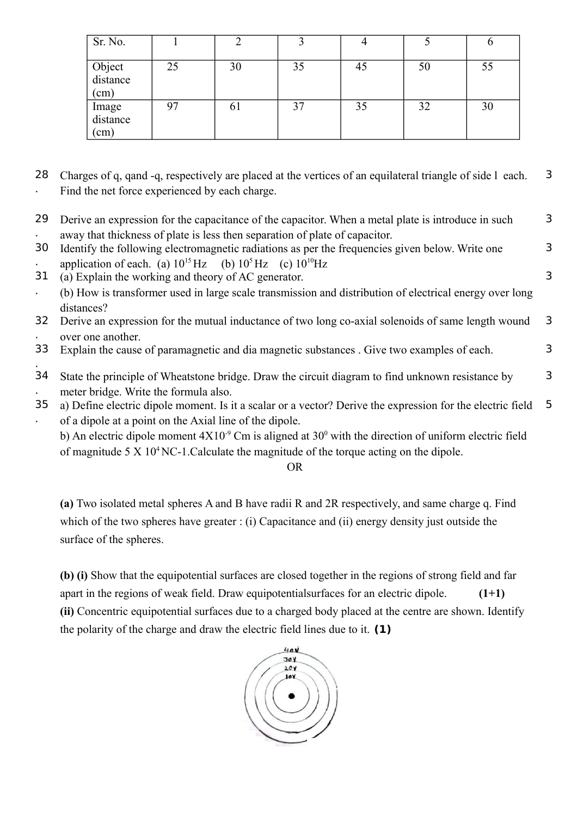| Sr. No.                    |    | ◠  |    |    |    | υ  |
|----------------------------|----|----|----|----|----|----|
| Object<br>distance<br>(cm) | 25 | 30 | 35 | 45 | 50 | 55 |
| Image<br>distance<br>(cm)  | 97 | 61 | 37 | 35 | 32 | 30 |

- 28 Charges of q, qand -q, respectively are placed at the vertices of an equilateral triangle of side l each. . Find the net force experienced by each charge. 3
- 29 . Derive an expression for the capacitance of the capacitor. When a metal plate is introduce in such away that thickness of plate is less then separation of plate of capacitor. 3

3

3

- 30 . Identify the following electromagnetic radiations as per the frequencies given below. Write one application of each. (a)  $10^{15}$  Hz (b)  $10^5$  Hz (c)  $10^{10}$  Hz
- 31 (a) Explain the working and theory of AC generator.
- . (b) How is transformer used in large scale transmission and distribution of electrical energy over long distances?
- 32 . Derive an expression for the mutual inductance of two long co-axial solenoids of same length wound over one another. 3
- 33 Explain the cause of paramagnetic and dia magnetic substances . Give two examples of each. 3
- . 34 . State the principle of Wheatstone bridge. Draw the circuit diagram to find unknown resistance by meter bridge. Write the formula also. 3
- 35 . a) Define electric dipole moment. Is it a scalar or a vector? Derive the expression for the electric field of a dipole at a point on the Axial line of the dipole. 5

b) An electric dipole moment  $4X10^{-9}$  Cm is aligned at  $30^{\circ}$  with the direction of uniform electric field of magnitude  $5 \times 10^4$  NC-1. Calculate the magnitude of the torque acting on the dipole.

OR

**(a)** Two isolated metal spheres A and B have radii R and 2R respectively, and same charge q. Find which of the two spheres have greater : (i) Capacitance and (ii) energy density just outside the surface of the spheres.

**(b) (i)** Show that the equipotential surfaces are closed together in the regions of strong field and far apart in the regions of weak field. Draw equipotentialsurfaces for an electric dipole. **(1+1) (ii)** Concentric equipotential surfaces due to a charged body placed at the centre are shown. Identify the polarity of the charge and draw the electric field lines due to it. **(1)**

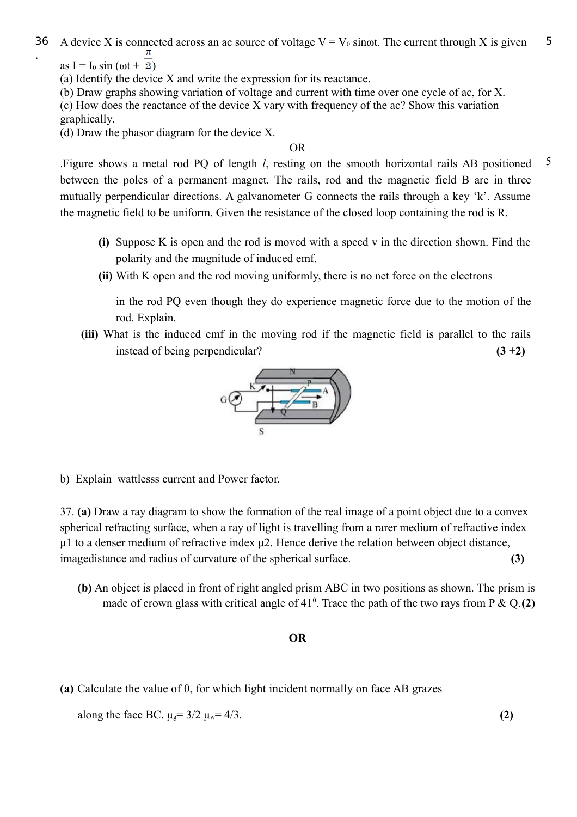36 A device X is connected across an ac source of voltage  $V = V_0$  sinot. The current through X is given . 5

as I = I<sub>0</sub> sin ( $\omega t$  +  $\overline{2}$ )

(a) Identify the device X and write the expression for its reactance.

(b) Draw graphs showing variation of voltage and current with time over one cycle of ac, for X. (c) How does the reactance of the device X vary with frequency of the ac? Show this variation graphically.

(d) Draw the phasor diagram for the device X.

OR

.Figure shows a metal rod PQ of length *l*, resting on the smooth horizontal rails AB positioned between the poles of a permanent magnet. The rails, rod and the magnetic field B are in three mutually perpendicular directions. A galvanometer G connects the rails through a key 'k'. Assume the magnetic field to be uniform. Given the resistance of the closed loop containing the rod is R. 5

- **(i)** Suppose K is open and the rod is moved with a speed v in the direction shown. Find the polarity and the magnitude of induced emf.
- **(ii)** With K open and the rod moving uniformly, there is no net force on the electrons

in the rod PQ even though they do experience magnetic force due to the motion of the rod. Explain.

**(iii)** What is the induced emf in the moving rod if the magnetic field is parallel to the rails instead of being perpendicular? **(3 +2)**



b) Explain wattlesss current and Power factor.

37. **(a)** Draw a ray diagram to show the formation of the real image of a point object due to a convex spherical refracting surface, when a ray of light is travelling from a rarer medium of refractive index μ1 to a denser medium of refractive index μ2. Hence derive the relation between object distance, imagedistance and radius of curvature of the spherical surface. **(3)**

**(b)** An object is placed in front of right angled prism ABC in two positions as shown. The prism is made of crown glass with critical angle of  $41^\circ$ . Trace the path of the two rays from P  $\&$  Q.(2)

## **OR**

**(a)** Calculate the value of θ, for which light incident normally on face AB grazes

along the face BC.  $\mu_{\rm g} = 3/2 \mu_{\rm w} = 4/3$ . **(2)**